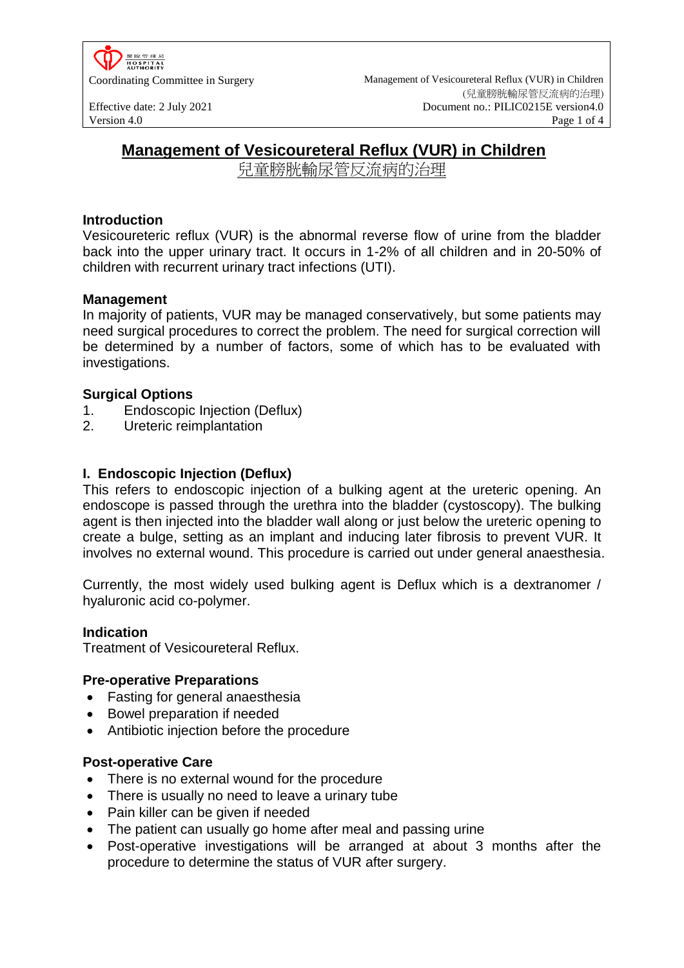

Coordinating Committee in Surgery Management of Vesicoureteral Reflux (VUR) in Children (兒童膀胱輸尿管反流病的治理) Effective date: 2 July 2021 Document no.: PILIC0215E version4.0<br>Version 4.0 Page 1 of 4 Version 4.0 **Page 1 of 4** 

# **Management of Vesicoureteral Reflux (VUR) in Children**

兒童膀胱輸尿管反流病的治理

### **Introduction**

Vesicoureteric reflux (VUR) is the abnormal reverse flow of urine from the bladder back into the upper urinary tract. It occurs in 1-2% of all children and in 20-50% of children with recurrent urinary tract infections (UTI).

### **Management**

In majority of patients, VUR may be managed conservatively, but some patients may need surgical procedures to correct the problem. The need for surgical correction will be determined by a number of factors, some of which has to be evaluated with investigations.

### **Surgical Options**

- 1. Endoscopic Injection (Deflux)
- 2. Ureteric reimplantation

### **I. Endoscopic Injection (Deflux)**

This refers to endoscopic injection of a bulking agent at the ureteric opening. An endoscope is passed through the urethra into the bladder (cystoscopy). The bulking agent is then injected into the bladder wall along or just below the ureteric opening to create a bulge, setting as an implant and inducing later fibrosis to prevent VUR. It involves no external wound. This procedure is carried out under general anaesthesia.

Currently, the most widely used bulking agent is Deflux which is a dextranomer / hyaluronic acid co-polymer.

#### **Indication**

Treatment of Vesicoureteral Reflux.

#### **Pre-operative Preparations**

- Fasting for general anaesthesia
- Bowel preparation if needed
- Antibiotic injection before the procedure

#### **Post-operative Care**

- There is no external wound for the procedure
- There is usually no need to leave a urinary tube
- Pain killer can be given if needed
- The patient can usually go home after meal and passing urine
- Post-operative investigations will be arranged at about 3 months after the procedure to determine the status of VUR after surgery.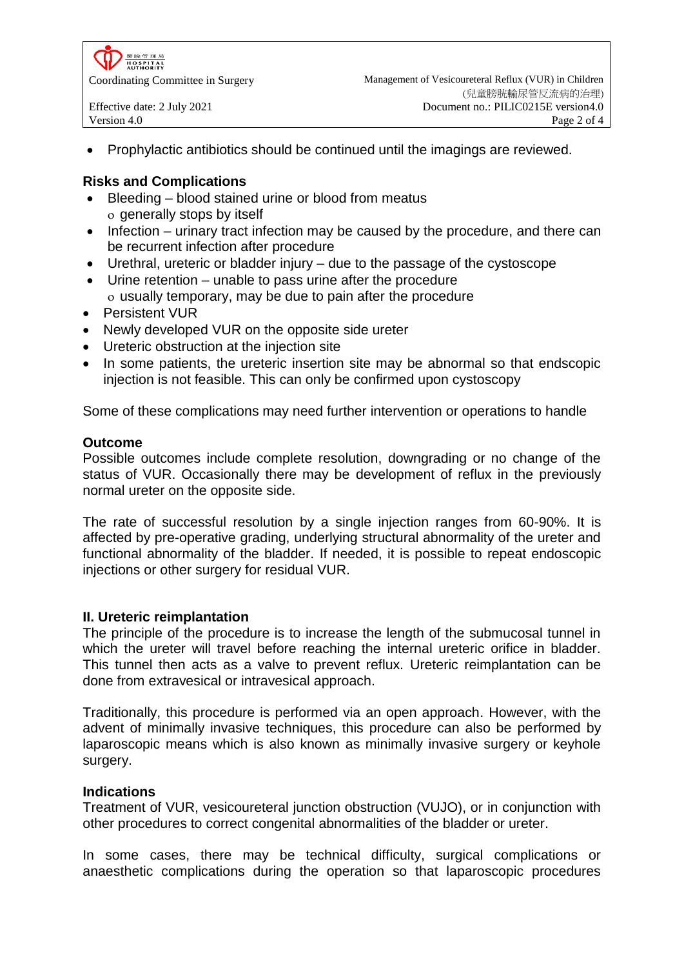

Prophylactic antibiotics should be continued until the imagings are reviewed.

## **Risks and Complications**

- Bleeding blood stained urine or blood from meatus o generally stops by itself
- Infection urinary tract infection may be caused by the procedure, and there can be recurrent infection after procedure
- Urethral, ureteric or bladder injury due to the passage of the cystoscope
- Urine retention unable to pass urine after the procedure usually temporary, may be due to pain after the procedure
- Persistent VUR
- Newly developed VUR on the opposite side ureter
- Ureteric obstruction at the injection site
- In some patients, the ureteric insertion site may be abnormal so that endscopic injection is not feasible. This can only be confirmed upon cystoscopy

Some of these complications may need further intervention or operations to handle

#### **Outcome**

Possible outcomes include complete resolution, downgrading or no change of the status of VUR. Occasionally there may be development of reflux in the previously normal ureter on the opposite side.

The rate of successful resolution by a single injection ranges from 60-90%. It is affected by pre-operative grading, underlying structural abnormality of the ureter and functional abnormality of the bladder. If needed, it is possible to repeat endoscopic injections or other surgery for residual VUR.

#### **II. Ureteric reimplantation**

The principle of the procedure is to increase the length of the submucosal tunnel in which the ureter will travel before reaching the internal ureteric orifice in bladder. This tunnel then acts as a valve to prevent reflux. Ureteric reimplantation can be done from extravesical or intravesical approach.

Traditionally, this procedure is performed via an open approach. However, with the advent of minimally invasive techniques, this procedure can also be performed by laparoscopic means which is also known as minimally invasive surgery or keyhole surgery.

#### **Indications**

Treatment of VUR, vesicoureteral junction obstruction (VUJO), or in conjunction with other procedures to correct congenital abnormalities of the bladder or ureter.

In some cases, there may be technical difficulty, surgical complications or anaesthetic complications during the operation so that laparoscopic procedures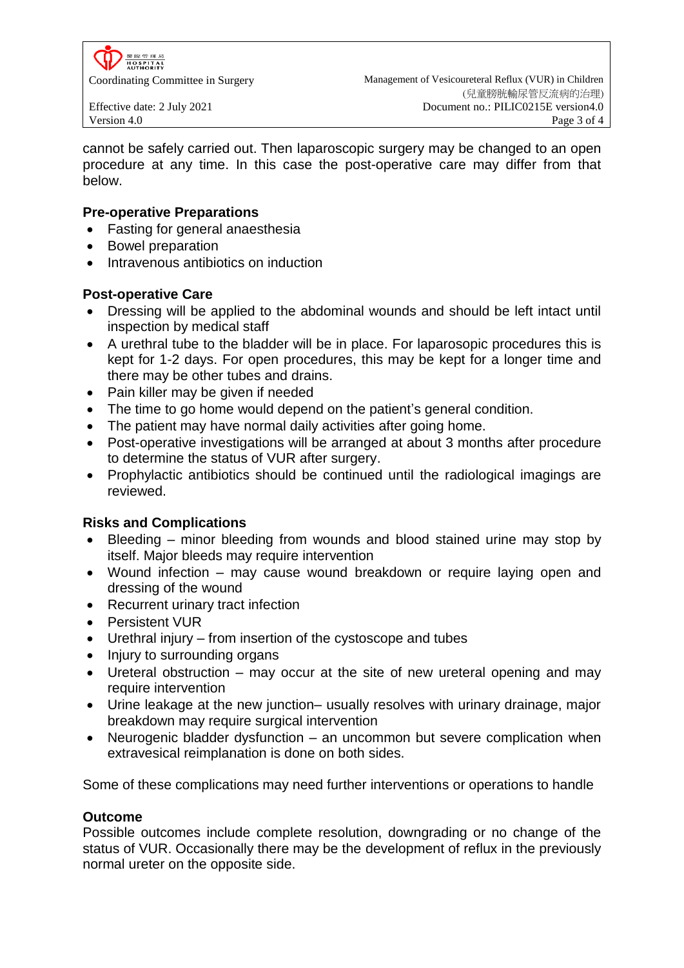

cannot be safely carried out. Then laparoscopic surgery may be changed to an open procedure at any time. In this case the post-operative care may differ from that below.

# **Pre-operative Preparations**

- Fasting for general anaesthesia
- Bowel preparation
- Intravenous antibiotics on induction

# **Post-operative Care**

- Dressing will be applied to the abdominal wounds and should be left intact until inspection by medical staff
- A urethral tube to the bladder will be in place. For laparosopic procedures this is kept for 1-2 days. For open procedures, this may be kept for a longer time and there may be other tubes and drains.
- Pain killer may be given if needed
- The time to go home would depend on the patient's general condition.
- The patient may have normal daily activities after going home.
- Post-operative investigations will be arranged at about 3 months after procedure to determine the status of VUR after surgery.
- Prophylactic antibiotics should be continued until the radiological imagings are reviewed.

# **Risks and Complications**

- Bleeding minor bleeding from wounds and blood stained urine may stop by itself. Major bleeds may require intervention
- Wound infection may cause wound breakdown or require laying open and dressing of the wound
- Recurrent urinary tract infection
- Persistent VUR
- Urethral injury from insertion of the cystoscope and tubes
- Injury to surrounding organs
- Ureteral obstruction may occur at the site of new ureteral opening and may require intervention
- Urine leakage at the new junction– usually resolves with urinary drainage, major breakdown may require surgical intervention
- Neurogenic bladder dysfunction an uncommon but severe complication when extravesical reimplanation is done on both sides.

Some of these complications may need further interventions or operations to handle

# **Outcome**

Possible outcomes include complete resolution, downgrading or no change of the status of VUR. Occasionally there may be the development of reflux in the previously normal ureter on the opposite side.